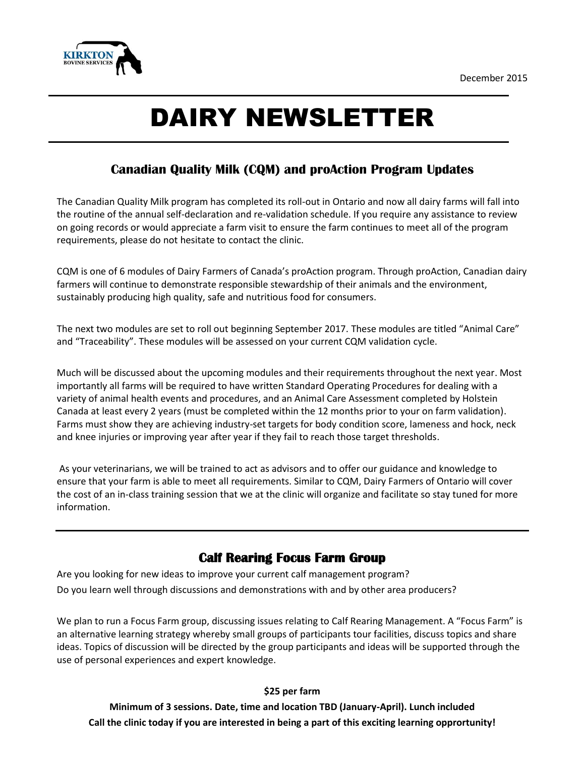

# DAIRY NEWSLETTER

## **Canadian Quality Milk (CQM) and proAction Program Updates**

The Canadian Quality Milk program has completed its roll-out in Ontario and now all dairy farms will fall into the routine of the annual self-declaration and re-validation schedule. If you require any assistance to review on going records or would appreciate a farm visit to ensure the farm continues to meet all of the program requirements, please do not hesitate to contact the clinic.

CQM is one of 6 modules of Dairy Farmers of Canada's proAction program. Through proAction, Canadian dairy farmers will continue to demonstrate responsible stewardship of their animals and the environment, sustainably producing high quality, safe and nutritious food for consumers.

The next two modules are set to roll out beginning September 2017. These modules are titled "Animal Care" and "Traceability". These modules will be assessed on your current CQM validation cycle.

Much will be discussed about the upcoming modules and their requirements throughout the next year. Most importantly all farms will be required to have written Standard Operating Procedures for dealing with a variety of animal health events and procedures, and an Animal Care Assessment completed by Holstein Canada at least every 2 years (must be completed within the 12 months prior to your on farm validation). Farms must show they are achieving industry-set targets for body condition score, lameness and hock, neck and knee injuries or improving year after year if they fail to reach those target thresholds.

As your veterinarians, we will be trained to act as advisors and to offer our guidance and knowledge to ensure that your farm is able to meet all requirements. Similar to CQM, Dairy Farmers of Ontario will cover the cost of an in-class training session that we at the clinic will organize and facilitate so stay tuned for more information.

### **Calf Rearing Focus Farm Group**

Are you looking for new ideas to improve your current calf management program? Do you learn well through discussions and demonstrations with and by other area producers?

We plan to run a Focus Farm group, discussing issues relating to Calf Rearing Management. A "Focus Farm" is an alternative learning strategy whereby small groups of participants tour facilities, discuss topics and share ideas. Topics of discussion will be directed by the group participants and ideas will be supported through the use of personal experiences and expert knowledge.

#### **\$25 per farm**

**Minimum of 3 sessions. Date, time and location TBD (January-April). Lunch included Call the clinic today if you are interested in being a part of this exciting learning opprortunity!**